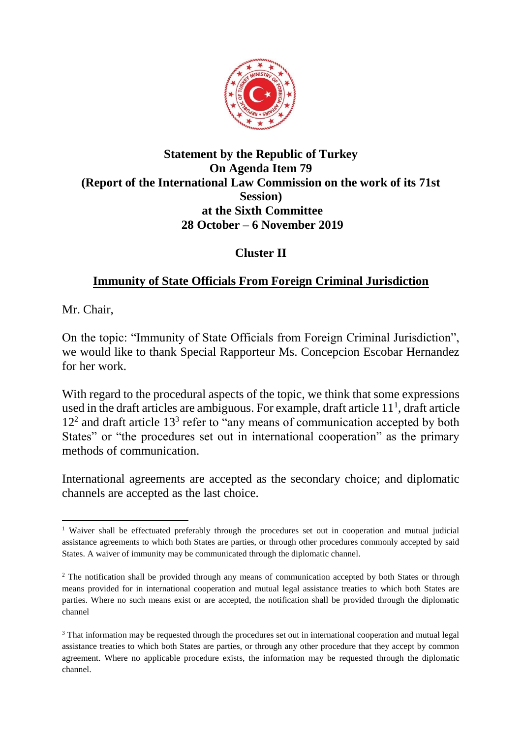

## **Statement by the Republic of Turkey On Agenda Item 79 (Report of the International Law Commission on the work of its 71st Session) at the Sixth Committee 28 October – 6 November 2019**

## **Cluster II**

# **Immunity of State Officials From Foreign Criminal Jurisdiction**

Mr. Chair,

On the topic: "Immunity of State Officials from Foreign Criminal Jurisdiction", we would like to thank Special Rapporteur Ms. Concepcion Escobar Hernandez for her work.

With regard to the procedural aspects of the topic, we think that some expressions used in the draft articles are ambiguous. For example, draft article  $11<sup>1</sup>$ , draft article 12<sup>2</sup> and draft article 13<sup>3</sup> refer to "any means of communication accepted by both States" or "the procedures set out in international cooperation" as the primary methods of communication.

International agreements are accepted as the secondary choice; and diplomatic channels are accepted as the last choice.

**<sup>.</sup>** <sup>1</sup> Waiver shall be effectuated preferably through the procedures set out in cooperation and mutual judicial assistance agreements to which both States are parties, or through other procedures commonly accepted by said States. A waiver of immunity may be communicated through the diplomatic channel.

<sup>&</sup>lt;sup>2</sup> The notification shall be provided through any means of communication accepted by both States or through means provided for in international cooperation and mutual legal assistance treaties to which both States are parties. Where no such means exist or are accepted, the notification shall be provided through the diplomatic channel

<sup>&</sup>lt;sup>3</sup> That information may be requested through the procedures set out in international cooperation and mutual legal assistance treaties to which both States are parties, or through any other procedure that they accept by common agreement. Where no applicable procedure exists, the information may be requested through the diplomatic channel.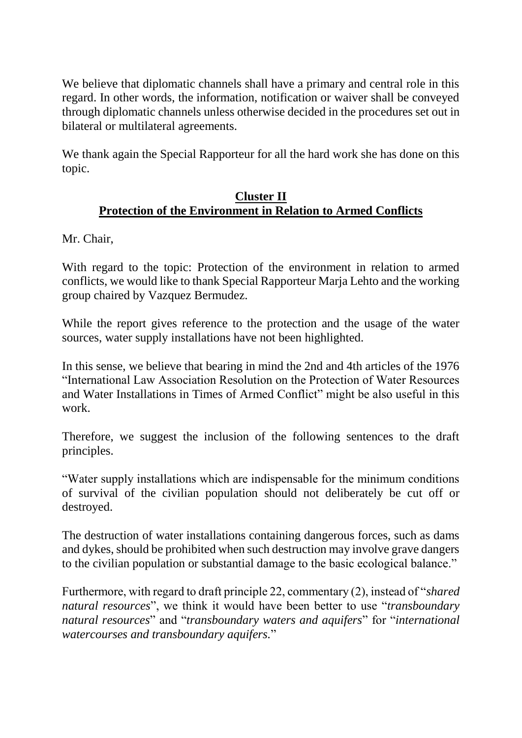We believe that diplomatic channels shall have a primary and central role in this regard. In other words, the information, notification or waiver shall be conveyed through diplomatic channels unless otherwise decided in the procedures set out in bilateral or multilateral agreements.

We thank again the Special Rapporteur for all the hard work she has done on this topic.

## **Cluster II Protection of the Environment in Relation to Armed Conflicts**

Mr. Chair,

With regard to the topic: Protection of the environment in relation to armed conflicts, we would like to thank Special Rapporteur Marja Lehto and the working group chaired by Vazquez Bermudez.

While the report gives reference to the protection and the usage of the water sources, water supply installations have not been highlighted.

In this sense, we believe that bearing in mind the 2nd and 4th articles of the 1976 "International Law Association Resolution on the Protection of Water Resources and Water Installations in Times of Armed Conflict" might be also useful in this work.

Therefore, we suggest the inclusion of the following sentences to the draft principles.

"Water supply installations which are indispensable for the minimum conditions of survival of the civilian population should not deliberately be cut off or destroyed.

The destruction of water installations containing dangerous forces, such as dams and dykes, should be prohibited when such destruction may involve grave dangers to the civilian population or substantial damage to the basic ecological balance."

Furthermore, with regard to draft principle 22, commentary (2), instead of "*shared natural resources*", we think it would have been better to use "*transboundary natural resources*" and "*transboundary waters and aquifers*" for "*international watercourses and transboundary aquifers.*"